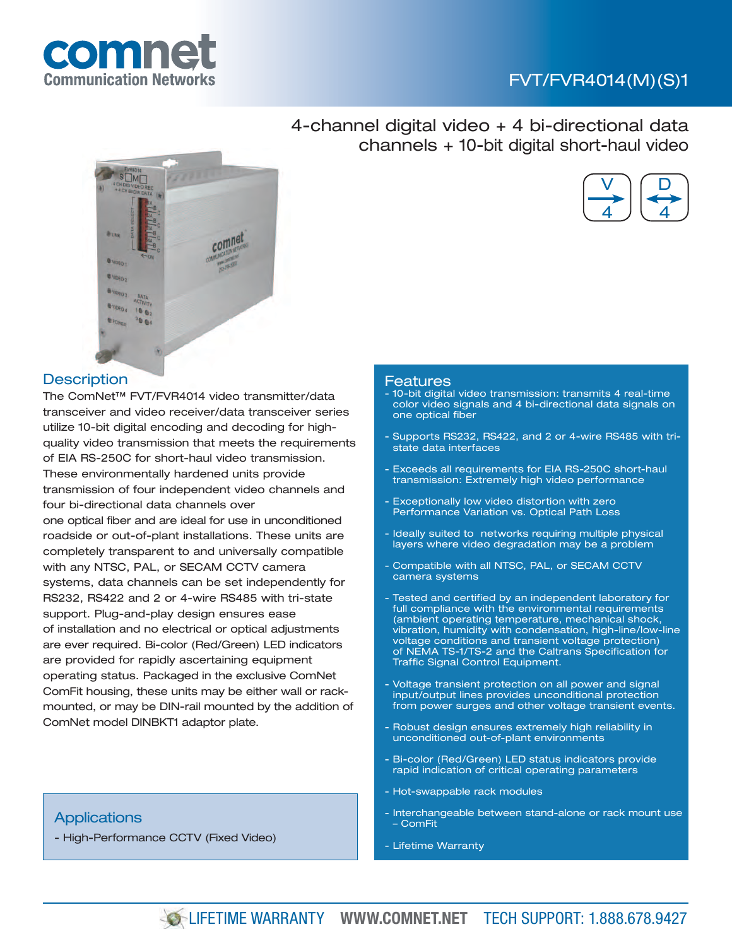## FVT/FVR4014(M)(S)1

V

D

4

4



4-channel digital video + 4 bi-directional data channels + 10-bit digital short-haul video



### **Description**

The ComNet™ FVT/FVR4014 video transmitter/data transceiver and video receiver/data transceiver series utilize 10-bit digital encoding and decoding for highquality video transmission that meets the requirements of EIA RS-250C for short-haul video transmission. These environmentally hardened units provide transmission of four independent video channels and four bi-directional data channels over one optical fiber and are ideal for use in unconditioned roadside or out-of-plant installations. These units are completely transparent to and universally compatible with any NTSC, PAL, or SECAM CCTV camera systems, data channels can be set independently for RS232, RS422 and 2 or 4-wire RS485 with tri-state support. Plug-and-play design ensures ease of installation and no electrical or optical adjustments are ever required. Bi-color (Red/Green) LED indicators are provided for rapidly ascertaining equipment operating status. Packaged in the exclusive ComNet ComFit housing, these units may be either wall or rackmounted, or may be DIN-rail mounted by the addition of ComNet model DINBKT1 adaptor plate.

## **Applications**

- High-Performance CCTV (Fixed Video)

### Features

- 10-bit digital video transmission: transmits 4 real-time color video signals and 4 bi-directional data signals on one optical fiber
- Supports RS232, RS422, and 2 or 4-wire RS485 with tristate data interfaces
- Exceeds all requirements for EIA RS-250C short-haul transmission: Extremely high video performance
- Exceptionally low video distortion with zero Performance Variation vs. Optical Path Loss
- Ideally suited to networks requiring multiple physical layers where video degradation may be a problem
- Compatible with all NTSC, PAL, or SECAM CCTV camera systems
- Tested and certified by an independent laboratory for full compliance with the environmental requirements (ambient operating temperature, mechanical shock, vibration, humidity with condensation, high-line/low-line voltage conditions and transient voltage protection) of NEMA TS-1/TS-2 and the Caltrans Specification for Traffic Signal Control Equipment.
- Voltage transient protection on all power and signal input/output lines provides unconditional protection from power surges and other voltage transient events.
- Robust design ensures extremely high reliability in unconditioned out-of-plant environments
- Bi-color (Red/Green) LED status indicators provide rapid indication of critical operating parameters
- Hot-swappable rack modules
- Interchangeable between stand-alone or rack mount use – ComFit
- Lifetime Warranty